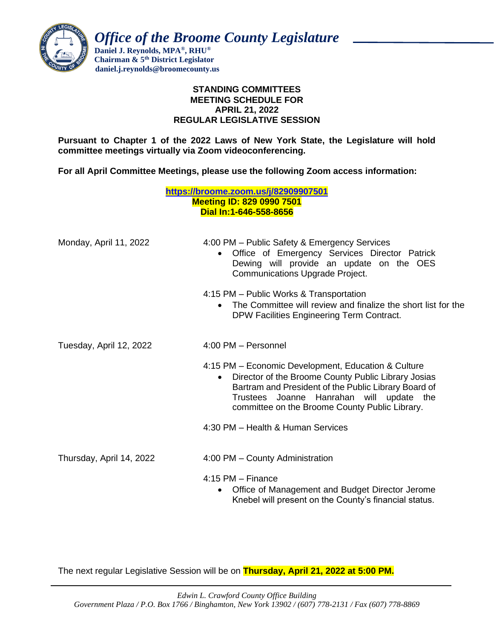

 *Office of the Broome County Legislature*

 **Daniel J. Reynolds, MPA®, RHU® Chairman & 5th District Legislator daniel.j.reynolds@broomecounty.us**

## **STANDING COMMITTEES MEETING SCHEDULE FOR APRIL 21, 2022 REGULAR LEGISLATIVE SESSION**

**Pursuant to Chapter 1 of the 2022 Laws of New York State, the Legislature will hold committee meetings virtually via Zoom videoconferencing.** 

**For all April Committee Meetings, please use the following Zoom access information:**

|                          | https://broome.zoom.us/j/82909907501<br><b>Meeting ID: 829 0990 7501</b><br>Dial In:1-646-558-8656                                                                                                                                                                            |
|--------------------------|-------------------------------------------------------------------------------------------------------------------------------------------------------------------------------------------------------------------------------------------------------------------------------|
| Monday, April 11, 2022   | 4:00 PM - Public Safety & Emergency Services<br>Office of Emergency Services Director Patrick<br>Dewing will provide an update on the OES<br>Communications Upgrade Project.                                                                                                  |
|                          | 4:15 PM - Public Works & Transportation<br>The Committee will review and finalize the short list for the<br>DPW Facilities Engineering Term Contract.                                                                                                                         |
| Tuesday, April 12, 2022  | 4:00 PM - Personnel                                                                                                                                                                                                                                                           |
|                          | 4:15 PM – Economic Development, Education & Culture<br>Director of the Broome County Public Library Josias<br>$\bullet$<br>Bartram and President of the Public Library Board of<br>Trustees Joanne Hanrahan will update the<br>committee on the Broome County Public Library. |
|                          | 4:30 PM - Health & Human Services                                                                                                                                                                                                                                             |
| Thursday, April 14, 2022 | 4:00 PM - County Administration                                                                                                                                                                                                                                               |
|                          | $4:15$ PM $-$ Finance<br>Office of Management and Budget Director Jerome<br>$\bullet$<br>Knebel will present on the County's financial status.                                                                                                                                |

The next regular Legislative Session will be on **Thursday, April 21, 2022 at 5:00 PM.**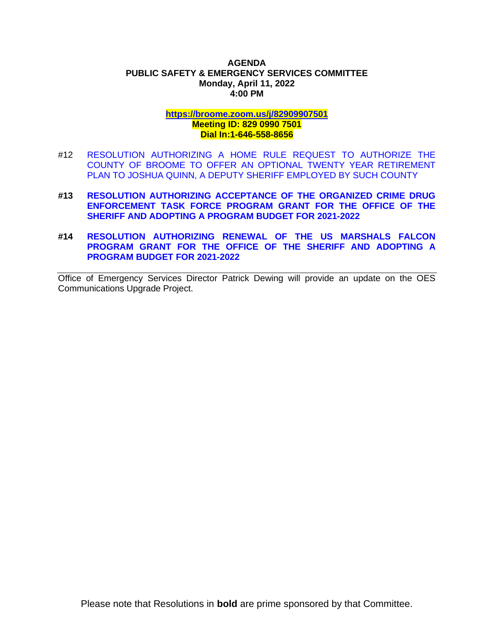#### **AGENDA PUBLIC SAFETY & EMERGENCY SERVICES COMMITTEE Monday, April 11, 2022 4:00 PM**

# **<https://broome.zoom.us/j/82909907501> Meeting ID: 829 0990 7501 Dial In:1-646-558-8656**

- #12 [RESOLUTION AUTHORIZING A HOME RULE REQUEST TO AUTHORIZE THE](https://www.gobroomecounty.com/sites/default/files/dept/legis/04212022-12.pdf)  [COUNTY OF BROOME TO OFFER AN OPTIONAL TWENTY YEAR RETIREMENT](https://www.gobroomecounty.com/sites/default/files/dept/legis/04212022-12.pdf)  [PLAN TO JOSHUA QUINN, A DEPUTY SHERIFF EMPLOYED BY SUCH COUNTY](https://www.gobroomecounty.com/sites/default/files/dept/legis/04212022-12.pdf)
- **#13 [RESOLUTION AUTHORIZING ACCEPTANCE OF THE ORGANIZED CRIME DRUG](https://www.gobroomecounty.com/sites/default/files/dept/legis/04212022-13.pdf)  [ENFORCEMENT TASK FORCE PROGRAM GRANT FOR THE OFFICE OF THE](https://www.gobroomecounty.com/sites/default/files/dept/legis/04212022-13.pdf)  [SHERIFF AND ADOPTING A PROGRAM BUDGET FOR 2021-2022](https://www.gobroomecounty.com/sites/default/files/dept/legis/04212022-13.pdf)**
- **#14 [RESOLUTION AUTHORIZING RENEWAL OF THE US MARSHALS FALCON](https://www.gobroomecounty.com/sites/default/files/dept/legis/04212022-14.pdf)  [PROGRAM GRANT FOR THE OFFICE OF THE SHERIFF AND ADOPTING A](https://www.gobroomecounty.com/sites/default/files/dept/legis/04212022-14.pdf)  [PROGRAM BUDGET FOR 2021-2022](https://www.gobroomecounty.com/sites/default/files/dept/legis/04212022-14.pdf)**

Office of Emergency Services Director Patrick Dewing will provide an update on the OES Communications Upgrade Project.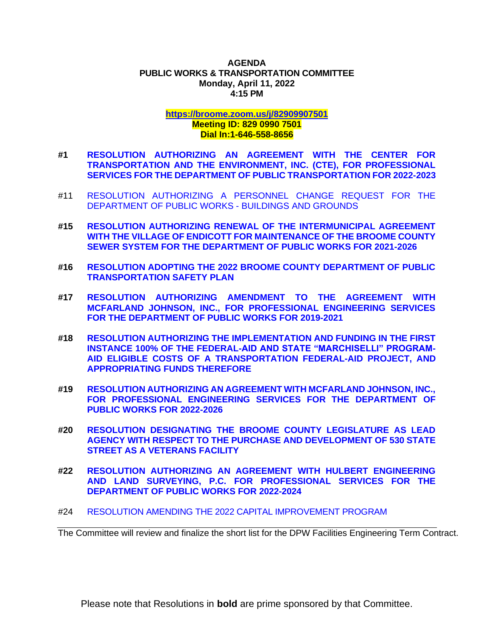#### **AGENDA PUBLIC WORKS & TRANSPORTATION COMMITTEE Monday, April 11, 2022 4:15 PM**

# **<https://broome.zoom.us/j/82909907501> Meeting ID: 829 0990 7501 Dial In:1-646-558-8656**

- **#1 [RESOLUTION AUTHORIZING AN AGREEMENT WITH THE CENTER FOR](https://www.gobroomecounty.com/sites/default/files/dept/legis/04212022-01.pdf)  [TRANSPORTATION AND THE ENVIRONMENT, INC. \(CTE\), FOR PROFESSIONAL](https://www.gobroomecounty.com/sites/default/files/dept/legis/04212022-01.pdf)  [SERVICES FOR THE DEPARTMENT OF PUBLIC TRANSPORTATION FOR 2022-2023](https://www.gobroomecounty.com/sites/default/files/dept/legis/04212022-01.pdf)**
- #11 [RESOLUTION AUTHORIZING A PERSONNEL CHANGE REQUEST FOR THE](https://www.gobroomecounty.com/sites/default/files/dept/legis/04212022-11.pdf)  [DEPARTMENT OF PUBLIC WORKS -](https://www.gobroomecounty.com/sites/default/files/dept/legis/04212022-11.pdf) BUILDINGS AND GROUNDS
- **#15 [RESOLUTION AUTHORIZING RENEWAL OF THE INTERMUNICIPAL AGREEMENT](https://www.gobroomecounty.com/sites/default/files/dept/legis/04212022-15.pdf)  [WITH THE VILLAGE OF ENDICOTT FOR MAINTENANCE OF THE BROOME COUNTY](https://www.gobroomecounty.com/sites/default/files/dept/legis/04212022-15.pdf)  [SEWER SYSTEM FOR THE DEPARTMENT OF PUBLIC WORKS FOR 2021-2026](https://www.gobroomecounty.com/sites/default/files/dept/legis/04212022-15.pdf)**
- **#16 [RESOLUTION ADOPTING THE 2022 BROOME COUNTY DEPARTMENT OF PUBLIC](https://www.gobroomecounty.com/sites/default/files/dept/legis/04212022-16.pdf)  [TRANSPORTATION SAFETY PLAN](https://www.gobroomecounty.com/sites/default/files/dept/legis/04212022-16.pdf)**
- **#17 [RESOLUTION AUTHORIZING AMENDMENT TO THE AGREEMENT WITH](https://www.gobroomecounty.com/sites/default/files/dept/legis/04212022-17.pdf)  [MCFARLAND JOHNSON, INC., FOR PROFESSIONAL ENGINEERING SERVICES](https://www.gobroomecounty.com/sites/default/files/dept/legis/04212022-17.pdf)  [FOR THE DEPARTMENT OF PUBLIC WORKS FOR 2019-2021](https://www.gobroomecounty.com/sites/default/files/dept/legis/04212022-17.pdf)**
- **#18 [RESOLUTION AUTHORIZING THE IMPLEMENTATION AND FUNDING IN THE FIRST](https://www.gobroomecounty.com/sites/default/files/dept/legis/04212022-18.pdf)  [INSTANCE 100% OF THE FEDERAL-AID AND STATE "MARCHISELLI" PROGRAM-](https://www.gobroomecounty.com/sites/default/files/dept/legis/04212022-18.pdf)[AID ELIGIBLE COSTS OF A TRANSPORTATION FEDERAL-AID PROJECT, AND](https://www.gobroomecounty.com/sites/default/files/dept/legis/04212022-18.pdf)  [APPROPRIATING FUNDS THEREFORE](https://www.gobroomecounty.com/sites/default/files/dept/legis/04212022-18.pdf)**
- **#19 [RESOLUTION AUTHORIZING AN AGREEMENT WITH MCFARLAND JOHNSON, INC.,](https://www.gobroomecounty.com/sites/default/files/dept/legis/04212022-19.pdf)  [FOR PROFESSIONAL ENGINEERING SERVICES FOR THE DEPARTMENT OF](https://www.gobroomecounty.com/sites/default/files/dept/legis/04212022-19.pdf)  [PUBLIC WORKS FOR 2022-2026](https://www.gobroomecounty.com/sites/default/files/dept/legis/04212022-19.pdf)**
- **#20 [RESOLUTION DESIGNATING THE BROOME COUNTY LEGISLATURE AS LEAD](https://www.gobroomecounty.com/sites/default/files/dept/legis/04212022-20.pdf)  [AGENCY WITH RESPECT TO THE PURCHASE AND DEVELOPMENT OF 530 STATE](https://www.gobroomecounty.com/sites/default/files/dept/legis/04212022-20.pdf)  [STREET AS A VETERANS FACILITY](https://www.gobroomecounty.com/sites/default/files/dept/legis/04212022-20.pdf)**
- **#22 [RESOLUTION AUTHORIZING AN AGREEMENT WITH HULBERT ENGINEERING](https://www.gobroomecounty.com/sites/default/files/dept/legis/04212022-22.pdf)  [AND LAND SURVEYING, P.C. FOR PROFESSIONAL SERVICES FOR THE](https://www.gobroomecounty.com/sites/default/files/dept/legis/04212022-22.pdf)  [DEPARTMENT OF PUBLIC WORKS FOR 2022-2024](https://www.gobroomecounty.com/sites/default/files/dept/legis/04212022-22.pdf)**
- #24 [RESOLUTION AMENDING THE 2022 CAPITAL IMPROVEMENT PROGRAM](https://www.gobroomecounty.com/sites/default/files/dept/legis/04212022-24.pdf)

The Committee will review and finalize the short list for the DPW Facilities Engineering Term Contract.

Please note that Resolutions in **bold** are prime sponsored by that Committee.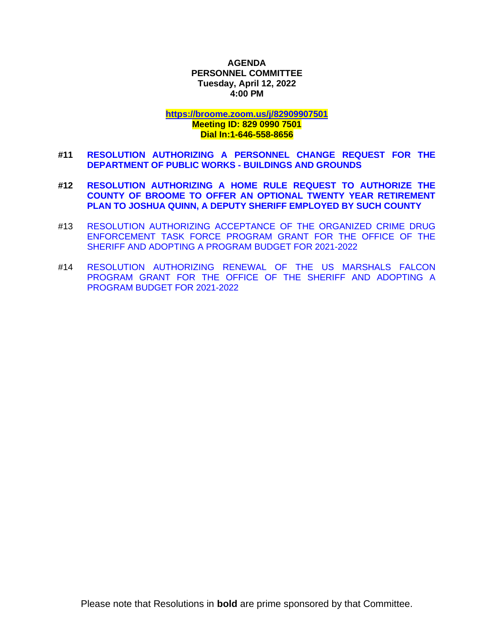**AGENDA PERSONNEL COMMITTEE Tuesday, April 12, 2022 4:00 PM**

**<https://broome.zoom.us/j/82909907501>**

## **Meeting ID: 829 0990 7501 Dial In:1-646-558-8656**

- **#11 [RESOLUTION AUTHORIZING A PERSONNEL CHANGE REQUEST FOR THE](https://www.gobroomecounty.com/sites/default/files/dept/legis/04212022-11.pdf)  [DEPARTMENT OF PUBLIC WORKS -](https://www.gobroomecounty.com/sites/default/files/dept/legis/04212022-11.pdf) BUILDINGS AND GROUNDS**
- **#12 [RESOLUTION AUTHORIZING A HOME RULE REQUEST TO AUTHORIZE THE](https://www.gobroomecounty.com/sites/default/files/dept/legis/04212022-12.pdf)  [COUNTY OF BROOME TO OFFER AN OPTIONAL TWENTY YEAR RETIREMENT](https://www.gobroomecounty.com/sites/default/files/dept/legis/04212022-12.pdf)  [PLAN TO JOSHUA QUINN, A DEPUTY SHERIFF EMPLOYED BY SUCH COUNTY](https://www.gobroomecounty.com/sites/default/files/dept/legis/04212022-12.pdf)**
- #13 [RESOLUTION AUTHORIZING ACCEPTANCE OF THE ORGANIZED CRIME DRUG](https://www.gobroomecounty.com/sites/default/files/dept/legis/04212022-13.pdf)  [ENFORCEMENT TASK FORCE PROGRAM GRANT FOR THE OFFICE OF THE](https://www.gobroomecounty.com/sites/default/files/dept/legis/04212022-13.pdf)  [SHERIFF AND ADOPTING A PROGRAM BUDGET FOR 2021-2022](https://www.gobroomecounty.com/sites/default/files/dept/legis/04212022-13.pdf)
- #14 [RESOLUTION AUTHORIZING RENEWAL OF THE US MARSHALS FALCON](https://www.gobroomecounty.com/sites/default/files/dept/legis/04212022-14.pdf)  [PROGRAM GRANT FOR THE OFFICE OF THE SHERIFF AND ADOPTING A](https://www.gobroomecounty.com/sites/default/files/dept/legis/04212022-14.pdf)  [PROGRAM BUDGET FOR 2021-2022](https://www.gobroomecounty.com/sites/default/files/dept/legis/04212022-14.pdf)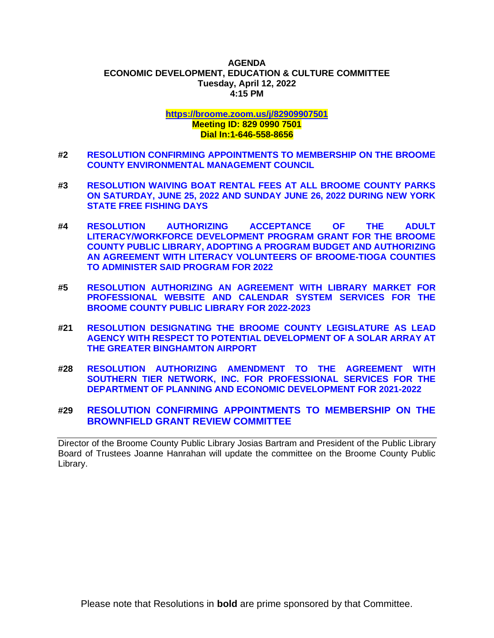#### **AGENDA ECONOMIC DEVELOPMENT, EDUCATION & CULTURE COMMITTEE Tuesday, April 12, 2022 4:15 PM**

#### **<https://broome.zoom.us/j/82909907501> Meeting ID: 829 0990 7501 Dial In:1-646-558-8656**

- **#2 [RESOLUTION CONFIRMING APPOINTMENTS TO MEMBERSHIP ON THE BROOME](https://www.gobroomecounty.com/sites/default/files/dept/legis/04212022-02.pdf)  [COUNTY ENVIRONMENTAL MANAGEMENT COUNCIL](https://www.gobroomecounty.com/sites/default/files/dept/legis/04212022-02.pdf)**
- **#3 [RESOLUTION WAIVING BOAT RENTAL FEES AT ALL BROOME COUNTY PARKS](https://www.gobroomecounty.com/sites/default/files/dept/legis/04212022-03.pdf)  [ON SATURDAY, JUNE 25, 2022 AND SUNDAY JUNE 26, 2022 DURING NEW YORK](https://www.gobroomecounty.com/sites/default/files/dept/legis/04212022-03.pdf)  [STATE FREE FISHING DAYS](https://www.gobroomecounty.com/sites/default/files/dept/legis/04212022-03.pdf)**
- **#4 [RESOLUTION AUTHORIZING ACCEPTANCE OF THE ADULT](https://www.gobroomecounty.com/sites/default/files/dept/legis/04212022-04.pdf)  [LITERACY/WORKFORCE DEVELOPMENT PROGRAM GRANT FOR THE BROOME](https://www.gobroomecounty.com/sites/default/files/dept/legis/04212022-04.pdf)  [COUNTY PUBLIC LIBRARY, ADOPTING A PROGRAM BUDGET AND AUTHORIZING](https://www.gobroomecounty.com/sites/default/files/dept/legis/04212022-04.pdf)  [AN AGREEMENT WITH LITERACY VOLUNTEERS OF BROOME-TIOGA COUNTIES](https://www.gobroomecounty.com/sites/default/files/dept/legis/04212022-04.pdf)  [TO ADMINISTER SAID PROGRAM FOR 2022](https://www.gobroomecounty.com/sites/default/files/dept/legis/04212022-04.pdf)**
- **#5 [RESOLUTION AUTHORIZING AN AGREEMENT WITH LIBRARY MARKET FOR](https://www.gobroomecounty.com/sites/default/files/dept/legis/04212022-05.pdf)  [PROFESSIONAL WEBSITE AND CALENDAR SYSTEM SERVICES FOR THE](https://www.gobroomecounty.com/sites/default/files/dept/legis/04212022-05.pdf)  [BROOME COUNTY PUBLIC LIBRARY FOR 2022-2023](https://www.gobroomecounty.com/sites/default/files/dept/legis/04212022-05.pdf)**
- **#21 [RESOLUTION DESIGNATING THE BROOME COUNTY LEGISLATURE AS LEAD](https://www.gobroomecounty.com/sites/default/files/dept/legis/04212022-21.pdf)  [AGENCY WITH RESPECT TO POTENTIAL DEVELOPMENT OF A SOLAR ARRAY AT](https://www.gobroomecounty.com/sites/default/files/dept/legis/04212022-21.pdf)  [THE GREATER BINGHAMTON AIRPORT](https://www.gobroomecounty.com/sites/default/files/dept/legis/04212022-21.pdf)**
- **#28 [RESOLUTION AUTHORIZING AMENDMENT TO THE AGREEMENT WITH](https://www.gobroomecounty.com/sites/default/files/dept/legis/04212022-28.pdf)  [SOUTHERN TIER NETWORK, INC. FOR PROFESSIONAL SERVICES FOR THE](https://www.gobroomecounty.com/sites/default/files/dept/legis/04212022-28.pdf)  [DEPARTMENT OF PLANNING AND ECONOMIC DEVELOPMENT](https://www.gobroomecounty.com/sites/default/files/dept/legis/04212022-28.pdf) FOR 2021-2022**

# **#29 [RESOLUTION CONFIRMING APPOINTMENTS TO MEMBERSHIP ON THE](https://www.gobroomecounty.com/sites/default/files/dept/legis/04212022-29.pdf)  [BROWNFIELD GRANT REVIEW COMMITTEE](https://www.gobroomecounty.com/sites/default/files/dept/legis/04212022-29.pdf)**

Director of the Broome County Public Library Josias Bartram and President of the Public Library Board of Trustees Joanne Hanrahan will update the committee on the Broome County Public Library.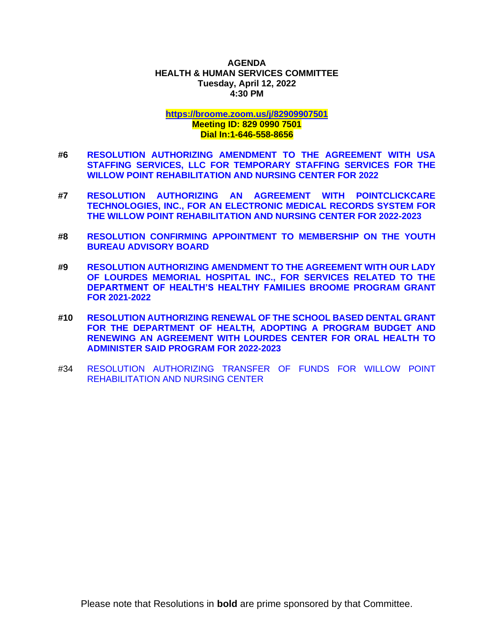### **AGENDA HEALTH & HUMAN SERVICES COMMITTEE Tuesday, April 12, 2022 4:30 PM**

# **<https://broome.zoom.us/j/82909907501> Meeting ID: 829 0990 7501 Dial In:1-646-558-8656**

- **#6 [RESOLUTION AUTHORIZING AMENDMENT TO THE AGREEMENT WITH USA](https://www.gobroomecounty.com/sites/default/files/dept/legis/04212022-06.pdf)  [STAFFING SERVICES, LLC FOR TEMPORARY STAFFING SERVICES FOR THE](https://www.gobroomecounty.com/sites/default/files/dept/legis/04212022-06.pdf)  [WILLOW POINT REHABILITATION AND NURSING CENTER FOR 2022](https://www.gobroomecounty.com/sites/default/files/dept/legis/04212022-06.pdf)**
- **#7 [RESOLUTION AUTHORIZING AN AGREEMENT WITH POINTCLICKCARE](https://www.gobroomecounty.com/sites/default/files/dept/legis/04212022-07.pdf)  [TECHNOLOGIES, INC., FOR AN ELECTRONIC MEDICAL RECORDS SYSTEM FOR](https://www.gobroomecounty.com/sites/default/files/dept/legis/04212022-07.pdf)  [THE WILLOW POINT REHABILITATION AND NURSING CENTER FOR 2022-2023](https://www.gobroomecounty.com/sites/default/files/dept/legis/04212022-07.pdf)**
- **#8 [RESOLUTION CONFIRMING APPOINTMENT TO MEMBERSHIP ON THE YOUTH](https://www.gobroomecounty.com/sites/default/files/dept/legis/04212022-08.pdf)  [BUREAU ADVISORY BOARD](https://www.gobroomecounty.com/sites/default/files/dept/legis/04212022-08.pdf)**
- **#9 [RESOLUTION AUTHORIZING AMENDMENT TO THE AGREEMENT WITH OUR LADY](https://www.gobroomecounty.com/sites/default/files/dept/legis/04212022-09.pdf)  [OF LOURDES MEMORIAL HOSPITAL INC., FOR SERVICES RELATED TO THE](https://www.gobroomecounty.com/sites/default/files/dept/legis/04212022-09.pdf)  [DEPARTMENT OF HEALTH'S HEALTHY FAMILIES BROOME PROGRAM GRANT](https://www.gobroomecounty.com/sites/default/files/dept/legis/04212022-09.pdf)  [FOR 2021-2022](https://www.gobroomecounty.com/sites/default/files/dept/legis/04212022-09.pdf)**
- **#10 [RESOLUTION AUTHORIZING RENEWAL OF THE SCHOOL BASED DENTAL GRANT](https://www.gobroomecounty.com/sites/default/files/dept/legis/04212022-10c.pdf)  FOR THE DEPARTMENT OF HEALTH***,* **[ADOPTING A PROGRAM BUDGET AND](https://www.gobroomecounty.com/sites/default/files/dept/legis/04212022-10c.pdf)  [RENEWING AN AGREEMENT WITH LOURDES CENTER FOR ORAL HEALTH TO](https://www.gobroomecounty.com/sites/default/files/dept/legis/04212022-10c.pdf)  [ADMINISTER SAID PROGRAM FOR 2022-2023](https://www.gobroomecounty.com/sites/default/files/dept/legis/04212022-10c.pdf)**
- #34 [RESOLUTION AUTHORIZING TRANSFER OF FUNDS FOR WILLOW POINT](https://www.gobroomecounty.com/sites/default/files/dept/legis/04212022-34.pdf)  [REHABILITATION AND NURSING CENTER](https://www.gobroomecounty.com/sites/default/files/dept/legis/04212022-34.pdf)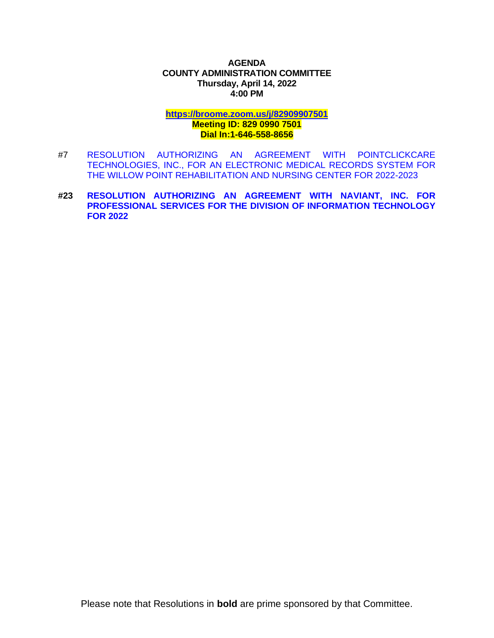## **AGENDA COUNTY ADMINISTRATION COMMITTEE Thursday, April 14, 2022 4:00 PM**

**<https://broome.zoom.us/j/82909907501>**

## **Meeting ID: 829 0990 7501 Dial In:1-646-558-8656**

- #7 [RESOLUTION AUTHORIZING AN AGREEMENT WITH POINTCLICKCARE](https://www.gobroomecounty.com/sites/default/files/dept/legis/04212022-07.pdf)  [TECHNOLOGIES, INC., FOR AN ELECTRONIC MEDICAL RECORDS SYSTEM FOR](https://www.gobroomecounty.com/sites/default/files/dept/legis/04212022-07.pdf)  [THE WILLOW POINT REHABILITATION AND NURSING CENTER FOR 2022-2023](https://www.gobroomecounty.com/sites/default/files/dept/legis/04212022-07.pdf)
- **#23 [RESOLUTION AUTHORIZING AN AGREEMENT WITH NAVIANT, INC. FOR](https://www.gobroomecounty.com/sites/default/files/dept/legis/04212022-23.pdf)  [PROFESSIONAL SERVICES FOR THE DIVISION OF INFORMATION TECHNOLOGY](https://www.gobroomecounty.com/sites/default/files/dept/legis/04212022-23.pdf)  [FOR 2022](https://www.gobroomecounty.com/sites/default/files/dept/legis/04212022-23.pdf)**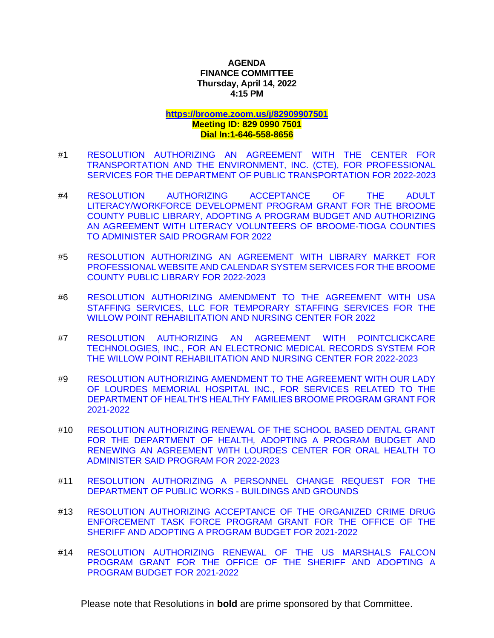## **AGENDA FINANCE COMMITTEE Thursday, April 14, 2022 4:15 PM**

# **<https://broome.zoom.us/j/82909907501>**

## **Meeting ID: 829 0990 7501 Dial In:1-646-558-8656**

- #1 [RESOLUTION AUTHORIZING AN AGREEMENT WITH THE CENTER FOR](https://www.gobroomecounty.com/sites/default/files/dept/legis/04212022-01.pdf)  [TRANSPORTATION AND THE ENVIRONMENT, INC. \(CTE\), FOR PROFESSIONAL](https://www.gobroomecounty.com/sites/default/files/dept/legis/04212022-01.pdf)  [SERVICES FOR THE DEPARTMENT OF PUBLIC TRANSPORTATION FOR 2022-2023](https://www.gobroomecounty.com/sites/default/files/dept/legis/04212022-01.pdf)
- #4 [RESOLUTION AUTHORIZING ACCEPTANCE OF THE ADULT](https://www.gobroomecounty.com/sites/default/files/dept/legis/04212022-04.pdf)  [LITERACY/WORKFORCE DEVELOPMENT PROGRAM GRANT FOR THE BROOME](https://www.gobroomecounty.com/sites/default/files/dept/legis/04212022-04.pdf)  [COUNTY PUBLIC LIBRARY, ADOPTING A PROGRAM BUDGET AND AUTHORIZING](https://www.gobroomecounty.com/sites/default/files/dept/legis/04212022-04.pdf)  [AN AGREEMENT WITH LITERACY VOLUNTEERS OF BROOME-TIOGA COUNTIES](https://www.gobroomecounty.com/sites/default/files/dept/legis/04212022-04.pdf)  [TO ADMINISTER SAID PROGRAM FOR 2022](https://www.gobroomecounty.com/sites/default/files/dept/legis/04212022-04.pdf)
- #5 [RESOLUTION AUTHORIZING AN AGREEMENT WITH LIBRARY MARKET FOR](https://www.gobroomecounty.com/sites/default/files/dept/legis/04212022-05.pdf)  [PROFESSIONAL WEBSITE AND CALENDAR SYSTEM SERVICES FOR THE BROOME](https://www.gobroomecounty.com/sites/default/files/dept/legis/04212022-05.pdf)  [COUNTY PUBLIC LIBRARY FOR 2022-2023](https://www.gobroomecounty.com/sites/default/files/dept/legis/04212022-05.pdf)
- #6 [RESOLUTION AUTHORIZING AMENDMENT TO THE AGREEMENT WITH USA](https://www.gobroomecounty.com/sites/default/files/dept/legis/04212022-06.pdf)  [STAFFING SERVICES, LLC FOR TEMPORARY STAFFING SERVICES FOR THE](https://www.gobroomecounty.com/sites/default/files/dept/legis/04212022-06.pdf)  [WILLOW POINT REHABILITATION AND NURSING CENTER FOR 2022](https://www.gobroomecounty.com/sites/default/files/dept/legis/04212022-06.pdf)
- #7 [RESOLUTION AUTHORIZING AN AGREEMENT WITH POINTCLICKCARE](https://www.gobroomecounty.com/sites/default/files/dept/legis/04212022-07.pdf)  [TECHNOLOGIES, INC., FOR AN ELECTRONIC MEDICAL RECORDS SYSTEM FOR](https://www.gobroomecounty.com/sites/default/files/dept/legis/04212022-07.pdf)  [THE WILLOW POINT REHABILITATION AND NURSING CENTER FOR 2022-2023](https://www.gobroomecounty.com/sites/default/files/dept/legis/04212022-07.pdf)
- #9 [RESOLUTION AUTHORIZING AMENDMENT TO THE AGREEMENT WITH OUR LADY](https://www.gobroomecounty.com/sites/default/files/dept/legis/04212022-09.pdf)  [OF LOURDES MEMORIAL HOSPITAL INC., FOR SERVICES RELATED TO THE](https://www.gobroomecounty.com/sites/default/files/dept/legis/04212022-09.pdf)  [DEPARTMENT OF HEALTH'S HEALTHY FAMILIES BROOME PROGRAM GRANT FOR](https://www.gobroomecounty.com/sites/default/files/dept/legis/04212022-09.pdf)  [2021-2022](https://www.gobroomecounty.com/sites/default/files/dept/legis/04212022-09.pdf)
- #10 [RESOLUTION AUTHORIZING RENEWAL OF THE SCHOOL BASED DENTAL GRANT](https://www.gobroomecounty.com/sites/default/files/dept/legis/04212022-10c.pdf)  FOR THE DEPARTMENT OF HEALTH*,* [ADOPTING A PROGRAM BUDGET AND](https://www.gobroomecounty.com/sites/default/files/dept/legis/04212022-10c.pdf)  [RENEWING AN AGREEMENT WITH LOURDES CENTER FOR ORAL HEALTH TO](https://www.gobroomecounty.com/sites/default/files/dept/legis/04212022-10c.pdf)  [ADMINISTER SAID PROGRAM FOR 2022-2023](https://www.gobroomecounty.com/sites/default/files/dept/legis/04212022-10c.pdf)
- #11 [RESOLUTION AUTHORIZING A PERSONNEL CHANGE REQUEST FOR THE](https://www.gobroomecounty.com/sites/default/files/dept/legis/04212022-11.pdf)  [DEPARTMENT OF PUBLIC WORKS -](https://www.gobroomecounty.com/sites/default/files/dept/legis/04212022-11.pdf) BUILDINGS AND GROUNDS
- #13 [RESOLUTION AUTHORIZING ACCEPTANCE OF THE ORGANIZED CRIME DRUG](https://www.gobroomecounty.com/sites/default/files/dept/legis/04212022-13.pdf)  [ENFORCEMENT TASK FORCE PROGRAM GRANT FOR THE OFFICE OF THE](https://www.gobroomecounty.com/sites/default/files/dept/legis/04212022-13.pdf)  [SHERIFF AND ADOPTING A PROGRAM BUDGET FOR 2021-2022](https://www.gobroomecounty.com/sites/default/files/dept/legis/04212022-13.pdf)
- #14 [RESOLUTION AUTHORIZING RENEWAL OF THE US MARSHALS FALCON](https://www.gobroomecounty.com/sites/default/files/dept/legis/04212022-14.pdf)  [PROGRAM GRANT FOR THE OFFICE OF THE SHERIFF AND ADOPTING A](https://www.gobroomecounty.com/sites/default/files/dept/legis/04212022-14.pdf)  [PROGRAM BUDGET FOR 2021-2022](https://www.gobroomecounty.com/sites/default/files/dept/legis/04212022-14.pdf)

Please note that Resolutions in **bold** are prime sponsored by that Committee.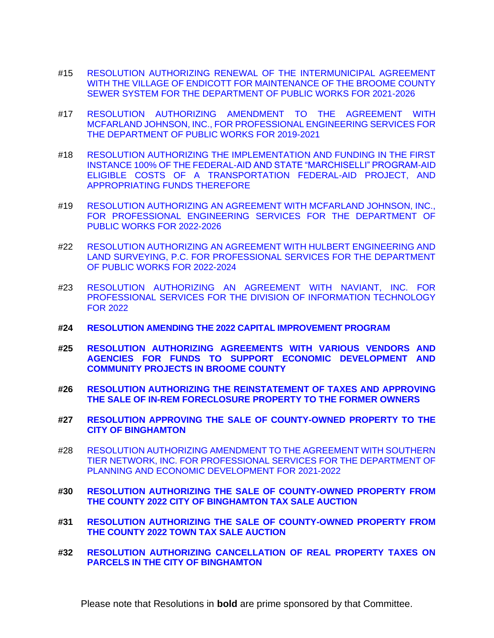- #15 [RESOLUTION AUTHORIZING RENEWAL OF THE INTERMUNICIPAL AGREEMENT](https://www.gobroomecounty.com/sites/default/files/dept/legis/04212022-15.pdf)  [WITH THE VILLAGE OF ENDICOTT FOR MAINTENANCE OF THE BROOME COUNTY](https://www.gobroomecounty.com/sites/default/files/dept/legis/04212022-15.pdf) [SEWER SYSTEM FOR THE DEPARTMENT OF PUBLIC WORKS FOR 2021-2026](https://www.gobroomecounty.com/sites/default/files/dept/legis/04212022-15.pdf)
- #17 [RESOLUTION AUTHORIZING AMENDMENT TO THE AGREEMENT WITH](https://www.gobroomecounty.com/sites/default/files/dept/legis/04212022-17.pdf)  [MCFARLAND JOHNSON, INC., FOR PROFESSIONAL ENGINEERING SERVICES FOR](https://www.gobroomecounty.com/sites/default/files/dept/legis/04212022-17.pdf)  [THE DEPARTMENT OF PUBLIC WORKS FOR 2019-2021](https://www.gobroomecounty.com/sites/default/files/dept/legis/04212022-17.pdf)
- #18 [RESOLUTION AUTHORIZING THE IMPLEMENTATION AND FUNDING IN THE FIRST](https://www.gobroomecounty.com/sites/default/files/dept/legis/04212022-18.pdf)  [INSTANCE 100% OF THE FEDERAL-AID AND STATE "MARCHISELLI" PROGRAM-AID](https://www.gobroomecounty.com/sites/default/files/dept/legis/04212022-18.pdf)  [ELIGIBLE COSTS OF A TRANSPORTATION FEDERAL-AID PROJECT, AND](https://www.gobroomecounty.com/sites/default/files/dept/legis/04212022-18.pdf)  [APPROPRIATING FUNDS THEREFORE](https://www.gobroomecounty.com/sites/default/files/dept/legis/04212022-18.pdf)
- #19 [RESOLUTION AUTHORIZING AN AGREEMENT WITH MCFARLAND JOHNSON, INC.,](https://www.gobroomecounty.com/sites/default/files/dept/legis/04212022-19.pdf)  [FOR PROFESSIONAL ENGINEERING SERVICES FOR THE DEPARTMENT OF](https://www.gobroomecounty.com/sites/default/files/dept/legis/04212022-19.pdf)  [PUBLIC WORKS FOR 2022-2026](https://www.gobroomecounty.com/sites/default/files/dept/legis/04212022-19.pdf)
- #22 [RESOLUTION AUTHORIZING AN AGREEMENT WITH HULBERT ENGINEERING AND](https://www.gobroomecounty.com/sites/default/files/dept/legis/04212022-22.pdf)  [LAND SURVEYING, P.C. FOR PROFESSIONAL SERVICES FOR THE DEPARTMENT](https://www.gobroomecounty.com/sites/default/files/dept/legis/04212022-22.pdf)  [OF PUBLIC WORKS FOR 2022-2024](https://www.gobroomecounty.com/sites/default/files/dept/legis/04212022-22.pdf)
- #23 [RESOLUTION AUTHORIZING AN AGREEMENT WITH NAVIANT, INC. FOR](https://www.gobroomecounty.com/sites/default/files/dept/legis/04212022-23.pdf)  [PROFESSIONAL SERVICES FOR THE DIVISION OF INFORMATION TECHNOLOGY](https://www.gobroomecounty.com/sites/default/files/dept/legis/04212022-23.pdf)  [FOR 2022](https://www.gobroomecounty.com/sites/default/files/dept/legis/04212022-23.pdf)
- **#24 [RESOLUTION AMENDING THE 2022 CAPITAL IMPROVEMENT PROGRAM](https://www.gobroomecounty.com/sites/default/files/dept/legis/04212022-24.pdf)**
- **#25 [RESOLUTION AUTHORIZING AGREEMENTS WITH VARIOUS VENDORS AND](https://www.gobroomecounty.com/sites/default/files/dept/legis/04212022-25.pdf)  [AGENCIES FOR FUNDS TO SUPPORT ECONOMIC DEVELOPMENT AND](https://www.gobroomecounty.com/sites/default/files/dept/legis/04212022-25.pdf)  [COMMUNITY PROJECTS IN BROOME COUNTY](https://www.gobroomecounty.com/sites/default/files/dept/legis/04212022-25.pdf)**
- **#26 [RESOLUTION AUTHORIZING THE REINSTATEMENT OF TAXES AND APPROVING](https://www.gobroomecounty.com/sites/default/files/dept/legis/04212022-26.pdf)  [THE SALE OF IN-REM FORECLOSURE PROPERTY TO THE FORMER OWNERS](https://www.gobroomecounty.com/sites/default/files/dept/legis/04212022-26.pdf)**
- **#27 [RESOLUTION APPROVING THE SALE OF COUNTY-OWNED PROPERTY TO THE](https://www.gobroomecounty.com/sites/default/files/dept/legis/04212022-27.pdf)  [CITY OF BINGHAMTON](https://www.gobroomecounty.com/sites/default/files/dept/legis/04212022-27.pdf)**
- #28 [RESOLUTION AUTHORIZING AMENDMENT TO THE AGREEMENT WITH SOUTHERN](https://www.gobroomecounty.com/sites/default/files/dept/legis/04212022-28.pdf)  [TIER NETWORK, INC. FOR PROFESSIONAL SERVICES FOR THE DEPARTMENT OF](https://www.gobroomecounty.com/sites/default/files/dept/legis/04212022-28.pdf)  [PLANNING AND ECONOMIC DEVELOPMENT](https://www.gobroomecounty.com/sites/default/files/dept/legis/04212022-28.pdf) FOR 2021-2022
- **#30 [RESOLUTION AUTHORIZING THE SALE OF COUNTY-OWNED PROPERTY FROM](https://www.gobroomecounty.com/sites/default/files/dept/legis/04212022-30.pdf)  [THE COUNTY 2022 CITY OF BINGHAMTON TAX SALE AUCTION](https://www.gobroomecounty.com/sites/default/files/dept/legis/04212022-30.pdf)**
- **#31 [RESOLUTION AUTHORIZING THE SALE OF COUNTY-OWNED PROPERTY FROM](https://www.gobroomecounty.com/sites/default/files/dept/legis/04212022-31.pdf)  [THE COUNTY 2022 TOWN TAX SALE AUCTION](https://www.gobroomecounty.com/sites/default/files/dept/legis/04212022-31.pdf)**
- **#32 [RESOLUTION AUTHORIZING CANCELLATION OF REAL PROPERTY TAXES ON](https://www.gobroomecounty.com/sites/default/files/dept/legis/04212022-32.pdf)  [PARCELS IN THE CITY OF BINGHAMTON](https://www.gobroomecounty.com/sites/default/files/dept/legis/04212022-32.pdf)**